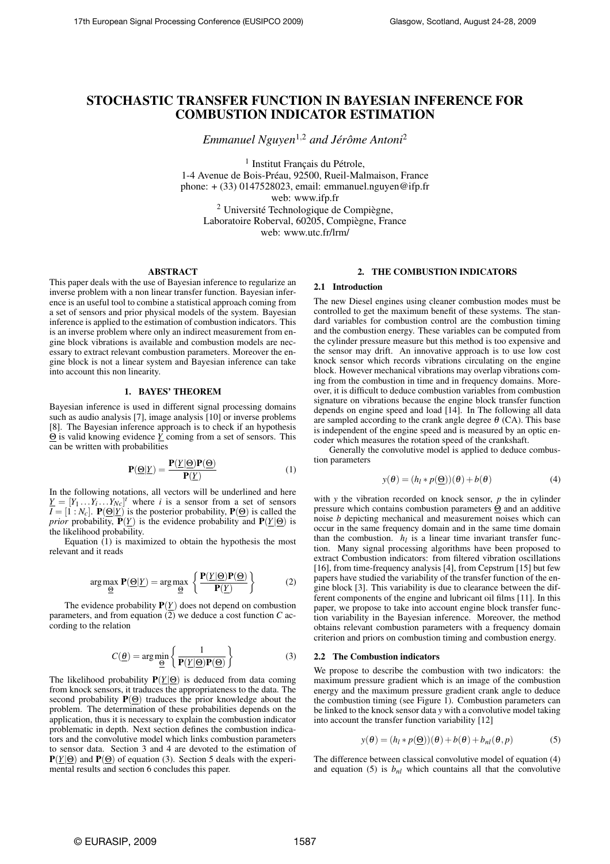# **STOCHASTIC TRANSFER FUNCTION IN BAYESIAN INFERENCE FOR COMBUSTION INDICATOR ESTIMATION**

*Emmanuel Nguyen*<sup>1</sup>,<sup>2</sup> *and Jérôme Antoni*<sup>2</sup>

<sup>1</sup> Institut Français du Pétrole, 1-4 Avenue de Bois-Préau, 92500, Rueil-Malmaison, France phone: + (33) 0147528023, email: emmanuel.nguyen@ifp.fr web: www.ifp.fr <sup>2</sup> Université Technologique de Compiègne, Laboratoire Roberval, 60205, Compiègne, France web: www.utc.fr/lrm/

## **ABSTRACT**

This paper deals with the use of Bayesian inference to regularize an inverse problem with a non linear transfer function. Bayesian inference is an useful tool to combine a statistical approach coming from a set of sensors and prior physical models of the system. Bayesian inference is applied to the estimation of combustion indicators. This is an inverse problem where only an indirect measurement from engine block vibrations is available and combustion models are necessary to extract relevant combustion parameters. Moreover the engine block is not a linear system and Bayesian inference can take into account this non linearity.

## **1. BAYES' THEOREM**

Bayesian inference is used in different signal processing domains such as audio analysis [7], image analysis [10] or inverse problems [8]. The Bayesian inference approach is to check if an hypothesis Θ is valid knowing evidence *Y* coming from a set of sensors. This can be written with probabilities

$$
\mathbf{P}(\underline{\Theta}|\underline{Y}) = \frac{\mathbf{P}(\underline{Y}|\underline{\Theta})\mathbf{P}(\underline{\Theta})}{\mathbf{P}(\underline{Y})}
$$
(1)

In the following notations, all vectors will be underlined and here  $\underline{Y} = [Y_1 \dots Y_i \dots Y_{Nc}]^t$  where *i* is a sensor from a set of sensors  $I = [1 : N_c]$ . **P**(Θ|*Y*) is the posterior probability, **P**(Θ) is called the *prior* probability,  $\overline{P}(Y)$  is the evidence probability and  $P(Y|\Theta)$  is the likelihood probability.

Equation  $(1)$  is maximized to obtain the hypothesis the most relevant and it reads

$$
\arg \max_{\underline{\Theta}} \mathbf{P}(\underline{\Theta}|\underline{Y}) = \arg \max_{\underline{\Theta}} \left\{ \frac{\mathbf{P}(\underline{Y}|\underline{\Theta})\mathbf{P}(\underline{\Theta})}{\mathbf{P}(\underline{Y})} \right\} \tag{2}
$$

The evidence probability  $P(\underline{Y})$  does not depend on combustion parameters, and from equation (2) we deduce a cost function *C* according to the relation

$$
C(\underline{\theta}) = \arg\min_{\underline{\Theta}} \left\{ \frac{1}{\mathbf{P}(\underline{Y}|\underline{\Theta})\mathbf{P}(\underline{\Theta})} \right\}
$$
(3)

The likelihood probability  $P(Y|\Theta)$  is deduced from data coming from knock sensors, it traduces the appropriateness to the data. The second probability  $P(\Theta)$  traduces the prior knowledge about the problem. The determination of these probabilities depends on the application, thus it is necessary to explain the combustion indicator problematic in depth. Next section defines the combustion indicators and the convolutive model which links combustion parameters to sensor data. Section 3 and 4 are devoted to the estimation of **P**(*Y*|Θ) and **P**(Θ) of equation (3). Section 5 deals with the experimental results and section 6 concludes this paper.

# **2. THE COMBUSTION INDICATORS**

## **2.1 Introduction**

The new Diesel engines using cleaner combustion modes must be controlled to get the maximum benefit of these systems. The standard variables for combustion control are the combustion timing and the combustion energy. These variables can be computed from the cylinder pressure measure but this method is too expensive and the sensor may drift. An innovative approach is to use low cost knock sensor which records vibrations circulating on the engine block. However mechanical vibrations may overlap vibrations coming from the combustion in time and in frequency domains. Moreover, it is difficult to deduce combustion variables from combustion signature on vibrations because the engine block transfer function depends on engine speed and load [14]. In The following all data are sampled according to the crank angle degree  $\theta$  (CA). This base is independent of the engine speed and is measured by an optic encoder which measures the rotation speed of the crankshaft.

Generally the convolutive model is applied to deduce combustion parameters

$$
y(\theta) = (h_l * p(\underline{\Theta}))(\theta) + b(\theta)
$$
 (4)

with *y* the vibration recorded on knock sensor, *p* the in cylinder pressure which contains combustion parameters Θ and an additive noise *b* depicting mechanical and measurement noises which can occur in the same frequency domain and in the same time domain than the combustion.  $h_l$  is a linear time invariant transfer function. Many signal processing algorithms have been proposed to extract Combustion indicators: from filtered vibration oscillations [16], from time-frequency analysis [4], from Cepstrum [15] but few papers have studied the variability of the transfer function of the engine block [3]. This variability is due to clearance between the different components of the engine and lubricant oil films [11]. In this paper, we propose to take into account engine block transfer function variability in the Bayesian inference. Moreover, the method obtains relevant combustion parameters with a frequency domain criterion and priors on combustion timing and combustion energy.

#### **2.2 The Combustion indicators**

We propose to describe the combustion with two indicators: the maximum pressure gradient which is an image of the combustion energy and the maximum pressure gradient crank angle to deduce the combustion timing (see Figure 1). Combustion parameters can be linked to the knock sensor data *y* with a convolutive model taking into account the transfer function variability [12]

$$
y(\theta) = (h_l * p(\underline{\Theta}))(\theta) + b(\theta) + b_{nl}(\theta, p)
$$
 (5)

The difference between classical convolutive model of equation (4) and equation (5) is  $b_{nl}$  which countains all that the convolutive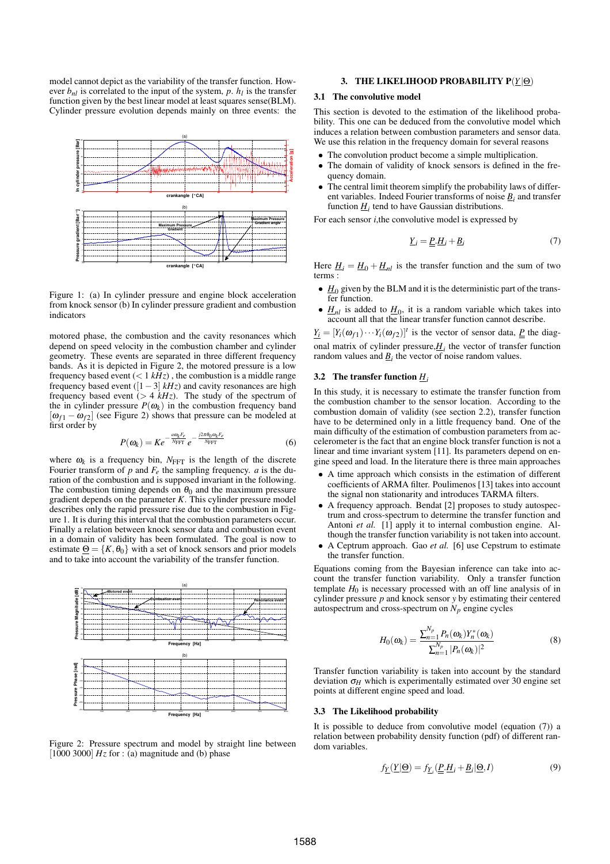model cannot depict as the variability of the transfer function. However  $b_{nl}$  is correlated to the input of the system,  $p$ .  $h_l$  is the transfer function given by the best linear model at least squares sense(BLM). Cylinder pressure evolution depends mainly on three events: the



Figure 1: (a) In cylinder pressure and engine block acceleration from knock sensor (b) In cylinder pressure gradient and combustion indicators

motored phase, the combustion and the cavity resonances which depend on speed velocity in the combustion chamber and cylinder geometry. These events are separated in three different frequency bands. As it is depicted in Figure 2, the motored pressure is a low frequency based event  $(< 1 kHz)$ , the combustion is a middle range frequency based event ( $[1-3]$  *kHz*) and cavity resonances are high frequency based event  $(> 4 \overline{kHz})$ . The study of the spectrum of the in cylinder pressure  $P(\omega_k)$  in the combustion frequency band  $[\omega_{f1} - \omega_{f2}]$  (see Figure 2) shows that pressure can be modeled at first order by

$$
P(\omega_k) = Ke^{-\frac{a\omega_k F_e}{N_{\text{FFT}}}e^{-\frac{j2\pi\theta_0\omega_k F_e}{N_{\text{FFT}}}}\tag{6}
$$

where  $\omega_k$  is a frequency bin,  $N_{\text{FFT}}$  is the length of the discrete Fourier transform of  $p$  and  $F_e$  the sampling frequency.  $a$  is the duration of the combustion and is supposed invariant in the following. The combustion timing depends on  $\theta_0$  and the maximum pressure gradient depends on the parameter *K*. This cylinder pressure model describes only the rapid pressure rise due to the combustion in Figure 1. It is during this interval that the combustion parameters occur. Finally a relation between knock sensor data and combustion event in a domain of validity has been formulated. The goal is now to estimate  $\Theta = \{K, \theta_0\}$  with a set of knock sensors and prior models and to take into account the variability of the transfer function.



Figure 2: Pressure spectrum and model by straight line between [ $1000$  3000]  $Hz$  for : (a) magnitude and (b) phase

# **3. THE LIKELIHOOD PROBABILITY P**(*Y*|Θ)

## **3.1 The convolutive model**

This section is devoted to the estimation of the likelihood probability. This one can be deduced from the convolutive model which induces a relation between combustion parameters and sensor data. We use this relation in the frequency domain for several reasons

- The convolution product become a simple multiplication.
- The domain of validity of knock sensors is defined in the frequency domain.
- The central limit theorem simplify the probability laws of different variables. Indeed Fourier transforms of noise  $\underline{B}_i$  and transfer function  $\underline{H}_i$  tend to have Gaussian distributions.

For each sensor *i*, the convolutive model is expressed by

$$
\underline{Y}_i = \underline{P}_i \underline{H}_i + \underline{B}_i \tag{7}
$$

Here  $H_i = H_0 + H_{nl}$  is the transfer function and the sum of two terms :

- $H_0$  given by the BLM and it is the deterministic part of the transfer function.
- $H_{nl}$  is added to  $H_0$ , it is a random variable which takes into account all that the linear transfer function cannot describe.

 $Y_i = [Y_i(\omega_{f1}) \cdots Y_i(\omega_{f2})]^t$  is the vector of sensor data,  $P$  the diagonal matrix of cylinder pressure, $H_i$  the vector of transfer function random values and  $\underline{B}_i$  the vector of noise random values.

# **3.2 The transfer function** *H<sup>i</sup>*

In this study, it is necessary to estimate the transfer function from the combustion chamber to the sensor location. According to the combustion domain of validity (see section 2.2), transfer function have to be determined only in a little frequency band. One of the main difficulty of the estimation of combustion parameters from accelerometer is the fact that an engine block transfer function is not a linear and time invariant system [11]. Its parameters depend on engine speed and load. In the literature there is three main approaches

- A time approach which consists in the estimation of different coefficients of ARMA filter. Poulimenos [13] takes into account the signal non stationarity and introduces TARMA filters.
- A frequency approach. Bendat [2] proposes to study autospectrum and cross-spectrum to determine the transfer function and Antoni *et al.* [1] apply it to internal combustion engine. Although the transfer function variability is not taken into account.
- A Ceptrum approach. Gao *et al.* [6] use Cepstrum to estimate the transfer function.

Equations coming from the Bayesian inference can take into account the transfer function variability. Only a transfer function template  $H_0$  is necessary processed with an off line analysis of in cylinder pressure *p* and knock sensor *y* by estimating their centered autospectrum and cross-spectrum on  $N_p$  engine cycles

$$
H_0(\omega_k) = \frac{\sum_{n=1}^{N_p} P_n(\omega_k) Y_n^*(\omega_k)}{\sum_{n=1}^{N_p} |P_n(\omega_k)|^2}
$$
(8)

Transfer function variability is taken into account by the standard deviation  $\sigma$ <sub>*H*</sub> which is experimentally estimated over 30 engine set points at different engine speed and load.

## **3.3 The Likelihood probability**

It is possible to deduce from convolutive model (equation (7)) a relation between probability density function (pdf) of different random variables.

$$
f_{\underline{Y}}(\underline{Y}|\underline{\Theta}) = f_{\underline{Y}_i}(\underline{P}.\underline{H}_i + \underline{B}_i|\underline{\Theta}, I) \tag{9}
$$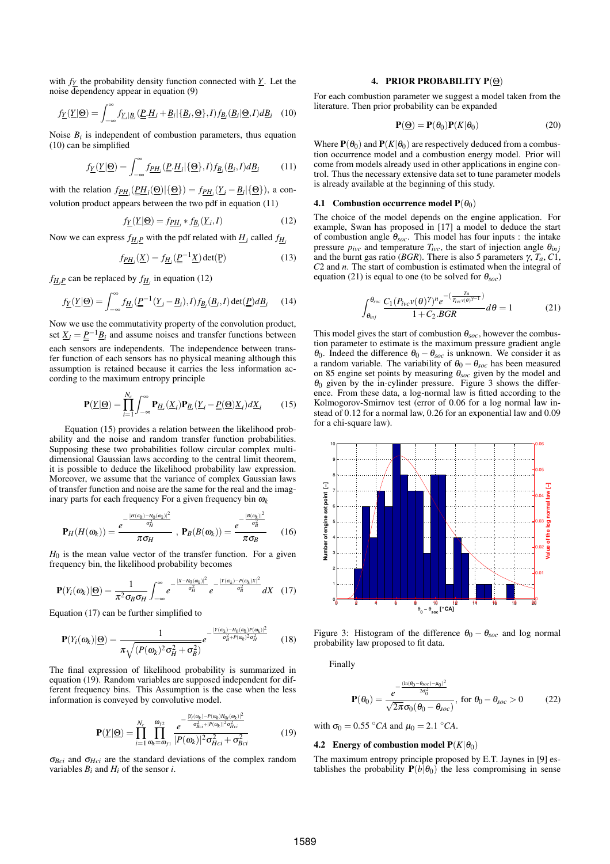with *fY* the probability density function connected with *Y*. Let the noise dependency appear in equation (9)

$$
f_{\underline{Y}}(\underline{Y}|\underline{\Theta}) = \int_{-\infty}^{\infty} f_{\underline{Y}_i|\underline{B}_i}(\underline{P}_i \underline{H}_i + \underline{B}_i | \{\underline{B}_i, \underline{\Theta}\}, I) f_{\underline{B}_i}(\underline{B}_i | \underline{\Theta}, I) d\underline{B}_i \quad (10)
$$

Noise  $B_i$  is independent of combustion parameters, thus equation (10) can be simplified

$$
f_{\underline{Y}}(\underline{Y}|\underline{\Theta}) = \int_{-\infty}^{\infty} f_{\underline{P}H_i}(\underline{P}_i \cdot \underline{H}_i | \{\underline{\Theta}\}, I) f_{\underline{B}_i}(\underline{B}_i, I) d\underline{B}_i \tag{11}
$$

with the relation  $f_{\underline{PH}_i}(\underline{PH}_i(\underline{\Theta}) | {\{\underline{\Theta}\}}) = f_{\underline{PH}_i}(\underline{Y}_i - \underline{B}_i | {\{\underline{\Theta}\}})$ , a convolution product appears between the two pdf in equation (11)

$$
f_{\underline{Y}}(\underline{Y}|\underline{\Theta}) = f_{\underline{P}H_i} * f_{\underline{B}_i}(\underline{Y}_i, I) \tag{12}
$$

Now we can express  $f_{\underline{H_i P}}$  with the pdf related with  $\underline{H_i}$  called  $f_{\underline{H_i}}$ 

$$
f_{\underline{P}H_i}(\underline{X}) = f_{\underline{H}_i}(\underline{\underline{P}}^{-1}\underline{X}) \det(\underline{P})
$$
\n(13)

 $f_{\frac{H}{i}}P$  can be replaced by  $f_{\frac{H}{i}}$  in equation (12)

$$
f_{\underline{Y}}(\underline{Y}|\underline{\Theta}) = \int_{-\infty}^{\infty} f_{\underline{H}_i}(\underline{P}^{-1}(\underline{Y}_i - \underline{B}_i), I) f_{\underline{B}_i}(\underline{B}_i, I) \det(\underline{P}) d\underline{B}_i \tag{14}
$$

Now we use the commutativity property of the convolution product, set  $\underline{X}_i = \underline{p}^{-1} \underline{B}_i$  and assume noises and transfer functions between each sensors are independents. The independence between transfer function of each sensors has no physical meaning although this assumption is retained because it carries the less information according to the maximum entropy principle

$$
\mathbf{P}(\underline{Y}|\underline{\Theta}) = \prod_{i=1}^{N_c} \int_{-\infty}^{\infty} \mathbf{P}_{\underline{H}_i}(\underline{X}_i) \mathbf{P}_{\underline{B}_i}(\underline{Y}_i - \underline{P}(\underline{\Theta}) \underline{X}_i) d\underline{X}_i \tag{15}
$$

Equation (15) provides a relation between the likelihood probability and the noise and random transfer function probabilities. Supposing these two probabilities follow circular complex multidimensional Gaussian laws according to the central limit theorem, it is possible to deduce the likelihood probability law expression. Moreover, we assume that the variance of complex Gaussian laws of transfer function and noise are the same for the real and the imaginary parts for each frequency For a given frequency bin  $\omega_k$ 

$$
\mathbf{P}_H(H(\boldsymbol{\omega}_k)) = \frac{e^{-\frac{|H(\boldsymbol{\omega}_k)-H_0(\boldsymbol{\omega}_k)|^2}{\sigma_H^2}}}{\pi \sigma_H}, \ \mathbf{P}_B(B(\boldsymbol{\omega}_k)) = \frac{e^{-\frac{|B(\boldsymbol{\omega}_k)|^2}{\sigma_B^2}}}{\pi \sigma_B} \qquad (16)
$$

 $H_0$  is the mean value vector of the transfer function. For a given frequency bin, the likelihood probability becomes

$$
\mathbf{P}(Y_i(\omega_k)|\underline{\Theta}) = \frac{1}{\pi^2 \sigma_B \sigma_H} \int_{-\infty}^{\infty} e^{-\frac{|X - H_0(\omega_k)|^2}{\sigma_H^2}} e^{-\frac{|Y(\omega_k) - P(\omega_k)X|^2}{\sigma_B^2}} dX \quad (17)
$$

Equation (17) can be further simplified to

$$
\mathbf{P}(Y_i(\boldsymbol{\omega}_k)|\boldsymbol{\Theta}) = \frac{1}{\pi\sqrt{(P(\boldsymbol{\omega}_k)^2\sigma_H^2 + \sigma_B^2)}}e^{-\frac{|Y(\boldsymbol{\omega}_k)^{-H_0(\boldsymbol{\omega}_k)^p(\boldsymbol{\omega}_k)|^2}{\sigma_B^2 + P(\boldsymbol{\omega}_k)^2\sigma_H^2}} \qquad (18)
$$

The final expression of likelihood probability is summarized in equation (19). Random variables are supposed independent for different frequency bins. This Assumption is the case when the less information is conveyed by convolutive model.

$$
\mathbf{P}(\underline{Y}|\underline{\Theta}) = \prod_{i=1}^{N_c} \prod_{\omega_k = \omega_{f1}}^{\omega_{f2}} \frac{e^{-\frac{|Y_i(\omega_k) - P(\omega_k)H_{0i}(\omega_k)|^2}{\sigma_{Bci}^2 + |P(\omega_k)|^2 \sigma_{Hci}^2}}}{|P(\omega_k)|^2 \sigma_{Hci}^2 + \sigma_{Bci}^2}
$$
(19)

<sup>σ</sup>*Bci* and <sup>σ</sup>*Hci* are the standard deviations of the complex random variables  $B_i$  and  $H_i$  of the sensor *i*.

#### **4. PRIOR PROBABILITY P**(Θ)

For each combustion parameter we suggest a model taken from the literature. Then prior probability can be expanded

$$
\mathbf{P}(\underline{\Theta}) = \mathbf{P}(\theta_0) \mathbf{P}(K|\theta_0)
$$
 (20)

Where **P**( $\theta_0$ ) and **P**( $K|\theta_0$ ) are respectively deduced from a combustion occurrence model and a combustion energy model. Prior will come from models already used in other applications in engine control. Thus the necessary extensive data set to tune parameter models is already available at the beginning of this study.

#### **4.1 Combustion occurrence model**  $P(\theta_0)$

The choice of the model depends on the engine application. For example, Swan has proposed in [17] a model to deduce the start of combustion angle <sup>θ</sup>*soc*. This model has four inputs : the intake pressure  $p_{\textit{ivc}}$  and temperature  $T_{\textit{ivc}}$ , the start of injection angle  $\theta_{\textit{inj}}$ and the burnt gas ratio (*BGR*). There is also 5 parameters  $\gamma$ ,  $T_a$ ,  $C1$ , *C*2 and *n*. The start of combustion is estimated when the integral of equation (21) is equal to one (to be solved for  $\theta_{\text{soc}}$ )

$$
\int_{\theta_{inj}}^{\theta_{soc}} \frac{C_1(P_{ivc}v(\theta)^{\gamma})^n e^{-\left(\frac{Ta}{T_{ivc}v(\theta)^{\gamma-1}}\right)}}{1+C_2.BGR} d\theta = 1
$$
 (21)

This model gives the start of combustion  $\theta_{\rm soc}$ , however the combustion parameter to estimate is the maximum pressure gradient angle θ<sub>0</sub>. Indeed the difference  $θ_0 − θ_{\text{soc}}$  is unknown. We consider it as a random variable. The variability of  $\theta_0 - \theta_{\text{soc}}$  has been measured on 85 engine set points by measuring <sup>θ</sup>*soc* given by the model and  $\theta_0$  given by the in-cylinder pressure. Figure 3 shows the difference. From these data, a log-normal law is fitted according to the Kolmogorov-Smirnov test (error of 0.06 for a log normal law instead of 0.12 for a normal law, 0.26 for an exponential law and 0.09 for a chi-square law).



Figure 3: Histogram of the difference  $\theta_0 - \theta_{\text{soc}}$  and log normal probability law proposed to fit data.

Finally

$$
\mathbf{P}(\theta_0) = \frac{e^{-\frac{(\ln(\theta_0 - \theta_{soc}) - \mu_0)^2}{2\sigma_0^2}}}{\sqrt{2\pi}\sigma_0(\theta_0 - \theta_{soc})}, \text{ for } \theta_0 - \theta_{soc} > 0 \tag{22}
$$

with  $\sigma_0 = 0.55$  °*CA* and  $\mu_0 = 2.1$  °*CA*.

#### **4.2 Energy of combustion model**  $P(K | \theta_0)$

The maximum entropy principle proposed by E.T. Jaynes in [9] establishes the probability  $P(b|\theta_0)$  the less compromising in sense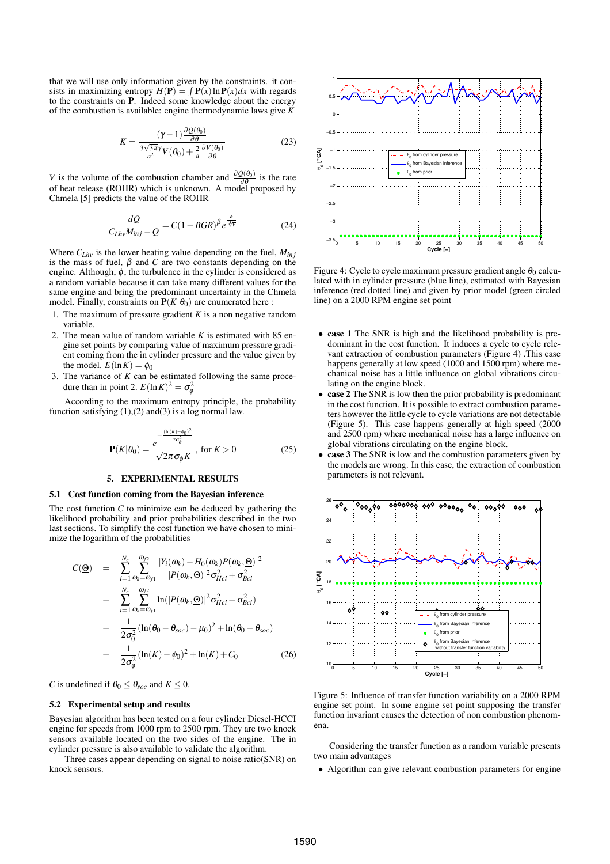that we will use only information given by the constraints. it consists in maximizing entropy  $H(\mathbf{P}) = \int \mathbf{P}(x) \ln \mathbf{P}(x) dx$  with regards to the constraints on **P**. Indeed some knowledge about the energy of the combustion is available: engine thermodynamic laws give *K*

$$
K = \frac{(\gamma - 1) \frac{\partial Q(\theta_0)}{\partial \theta}}{\frac{3\sqrt{3\pi}\gamma}{a^2} V(\theta_0) + \frac{2}{a} \frac{\partial V(\theta_0)}{\partial \theta}}
$$
(23)

*V* is the volume of the combustion chamber and  $\frac{\partial Q(\theta_0)}{\partial \theta}$  is the rate of heat release (ROHR) which is unknown. A model proposed by Chmela [5] predicts the value of the ROHR

$$
\frac{dQ}{C_{Lhv}M_{inj}-Q} = C(1 - BGR)^{\beta}e^{\frac{\phi}{\sqrt[3]{v}}}
$$
(24)

Where  $C_{Lhv}$  is the lower heating value depending on the fuel,  $M_{inj}$ is the mass of fuel,  $\beta$  and *C* are two constants depending on the engine. Although,  $\phi$ , the turbulence in the cylinder is considered as a random variable because it can take many different values for the same engine and bring the predominant uncertainty in the Chmela model. Finally, constraints on  $P(K|\theta_0)$  are enumerated here :

- 1. The maximum of pressure gradient  $K$  is a non negative random variable.
- 2. The mean value of random variable *K* is estimated with 85 engine set points by comparing value of maximum pressure gradient coming from the in cylinder pressure and the value given by the model.  $E(\ln K) = \phi_0$
- 3. The variance of *K* can be estimated following the same procedure than in point 2.  $E(\ln K)^2 = \sigma_{\phi}^2$

According to the maximum entropy principle, the probability function satisfying  $(1),(2)$  and  $(3)$  is a log normal law.

$$
\mathbf{P}(K|\theta_0) = \frac{e^{-\frac{(\ln(K) - \phi_0)^2}{2\sigma_\phi^2}}}{\sqrt{2\pi}\sigma_\phi K}, \text{ for } K > 0
$$
 (25)

## **5. EXPERIMENTAL RESULTS**

## **5.1 Cost function coming from the Bayesian inference**

The cost function *C* to minimize can be deduced by gathering the likelihood probability and prior probabilities described in the two last sections. To simplify the cost function we have chosen to minimize the logarithm of the probabilities

$$
C(\underline{\Theta}) = \sum_{i=1}^{N_c} \sum_{\omega_k = \omega_{f1}}^{\omega_{f2}} \frac{|Y_i(\omega_k) - H_0(\omega_k)P(\omega_k, \underline{\Theta})|^2}{|P(\omega_k, \underline{\Theta})|^2 \sigma_{Hci}^2 + \sigma_{Bci}^2} + \sum_{i=1}^{N_c} \sum_{\omega_k = \omega_{f1}}^{\omega_{f2}} \ln(|P(\omega_k, \underline{\Theta})|^2 \sigma_{Hci}^2 + \sigma_{Bci}^2) + \frac{1}{2\sigma_0^2} (\ln(\theta_0 - \theta_{soc}) - \mu_0)^2 + \ln(\theta_0 - \theta_{soc}) + \frac{1}{2\sigma_\phi^2} (\ln(K) - \phi_0)^2 + \ln(K) + C_0 \qquad (26)
$$

*C* is undefined if  $\theta_0 \leq \theta_{\text{soc}}$  and  $K \leq 0$ .

#### **5.2 Experimental setup and results**

Bayesian algorithm has been tested on a four cylinder Diesel-HCCI engine for speeds from 1000 rpm to 2500 rpm. They are two knock sensors available located on the two sides of the engine. The in cylinder pressure is also available to validate the algorithm.

Three cases appear depending on signal to noise ratio(SNR) on knock sensors.



Figure 4: Cycle to cycle maximum pressure gradient angle  $\theta_0$  calculated with in cylinder pressure (blue line), estimated with Bayesian inference (red dotted line) and given by prior model (green circled line) on a 2000 RPM engine set point

- **case 1** The SNR is high and the likelihood probability is predominant in the cost function. It induces a cycle to cycle relevant extraction of combustion parameters (Figure 4) .This case happens generally at low speed (1000 and 1500 rpm) where mechanical noise has a little influence on global vibrations circulating on the engine block.
- **case 2** The SNR is low then the prior probability is predominant in the cost function. It is possible to extract combustion parameters however the little cycle to cycle variations are not detectable (Figure 5). This case happens generally at high speed (2000 and 2500 rpm) where mechanical noise has a large influence on global vibrations circulating on the engine block.
- **case 3** The SNR is low and the combustion parameters given by the models are wrong. In this case, the extraction of combustion parameters is not relevant.



Figure 5: Influence of transfer function variability on a 2000 RPM engine set point. In some engine set point supposing the transfer function invariant causes the detection of non combustion phenomena.

Considering the transfer function as a random variable presents two main advantages

• Algorithm can give relevant combustion parameters for engine